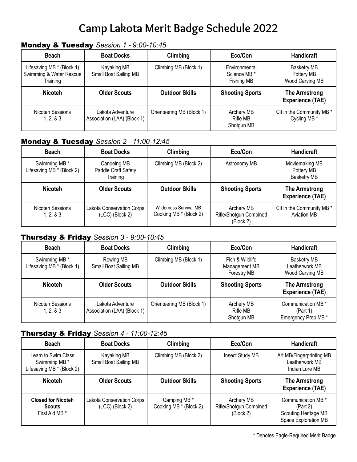# **Camp Lakota Merit Badge Schedule 2022**

### Monday & Tuesday *Session 1 - 9:00-10:45*

| <b>Beach</b>                                                     | <b>Boat Docks</b>                               | Climbing                  | Eco/Con                                     | <b>Handicraft</b>                                   |
|------------------------------------------------------------------|-------------------------------------------------|---------------------------|---------------------------------------------|-----------------------------------------------------|
| Lifesaving MB * (Block 1)<br>Swimming & Water Rescue<br>Training | Kayaking MB<br>Small Boat Sailing MB            | Climbing MB (Block 1)     | Environmental<br>Science MB *<br>Fishing MB | <b>Basketry MB</b><br>Pottery MB<br>Wood Carving MB |
| <b>Nicoteh</b>                                                   | <b>Older Scouts</b>                             | <b>Outdoor Skills</b>     | <b>Shooting Sports</b>                      | The Armstrong<br><b>Experience (TAE)</b>            |
| Nicoteh Sessions<br>1, 2, 8, 3                                   | Lakota Adventure<br>Association (LAA) (Block 1) | Orienteering MB (Block 1) | Archery MB<br><b>Rifle MB</b><br>Shotgun MB | Cit in the Community MB *<br>Cycling MB *           |

#### Monday & Tuesday *Session 2 - 11:00-12:45*

| <b>Beach</b>                               | <b>Boat Docks</b>                              | Climbing                                         | Eco/Con                                           | <b>Handicraft</b>                                  |
|--------------------------------------------|------------------------------------------------|--------------------------------------------------|---------------------------------------------------|----------------------------------------------------|
| Swimming MB *<br>Lifesaving MB * (Block 2) | Canoeing MB<br>Paddle Craft Safety<br>Training | Climbing MB (Block 2)                            | Astronomy MB                                      | Moviemaking MB<br>Pottery MB<br><b>Basketry MB</b> |
| <b>Nicoteh</b>                             | <b>Older Scouts</b>                            | <b>Outdoor Skills</b>                            | <b>Shooting Sports</b>                            | <b>The Armstrong</b><br><b>Experience (TAE)</b>    |
| Nicoteh Sessions<br>1, 2, 8, 3             | Lakota Conservation Corps<br>(LCC) (Block 2)   | Wilderness Survival MB<br>Cooking MB * (Block 2) | Archery MB<br>Rifle/Shotgun Combined<br>(Block 2) | Cit in the Community MB *<br><b>Aviation MB</b>    |

#### Thursday & Friday *Session 3 - 9:00-10:45*

| <b>Beach</b>                               | <b>Boat Docks</b>                               | Climbing                  | Eco/Con                                         | <b>Handicraft</b>                                       |
|--------------------------------------------|-------------------------------------------------|---------------------------|-------------------------------------------------|---------------------------------------------------------|
| Swimming MB *<br>Lifesaving MB * (Block 1) | Rowing MB<br>Small Boat Sailing MB              | Climbing MB (Block 1)     | Fish & Wildlife<br>Management MB<br>Forestry MB | <b>Basketry MB</b><br>Leatherwork MB<br>Wood Carving MB |
| <b>Nicoteh</b>                             | <b>Older Scouts</b>                             | <b>Outdoor Skills</b>     | <b>Shooting Sports</b>                          | The Armstrong<br><b>Experience (TAE)</b>                |
| Nicoteh Sessions<br>1, 2, 8, 3             | Lakota Adventure<br>Association (LAA) (Block 1) | Orienteering MB (Block 1) | Archery MB<br>Rifle MB<br>Shotgun MB            | Communication MB *<br>(Part 1)<br>Emergency Prep MB *   |

#### Thursday & Friday *Session 4 - 11:00-12:45*

| <b>Beach</b>                                                      | <b>Boat Docks</b>                            | Climbing                                          | Eco/Con                                           | <b>Handicraft</b>                                                              |
|-------------------------------------------------------------------|----------------------------------------------|---------------------------------------------------|---------------------------------------------------|--------------------------------------------------------------------------------|
| Learn to Swim Class<br>Swimming MB *<br>Lifesaving MB * (Block 2) | Kayaking MB<br>Small Boat Sailing MB         | Climbing MB (Block 2)                             | Insect Study MB                                   | Art MB/Fingerprinting MB<br>Leatherwork MB<br>Indian Lore MB                   |
| <b>Nicoteh</b>                                                    | <b>Older Scouts</b>                          | <b>Outdoor Skills</b>                             | <b>Shooting Sports</b>                            | <b>The Armstrong</b><br><b>Experience (TAE)</b>                                |
| <b>Closed for Nicoteh</b><br><b>Scouts</b><br>First Aid MB *      | Lakota Conservation Corps<br>(LCC) (Block 2) | Camping MB <sup>*</sup><br>Cooking MB * (Block 2) | Archery MB<br>Rifle/Shotgun Combined<br>(Block 2) | Communication MB *<br>(Part 2)<br>Scouting Heritage MB<br>Space Exploration MB |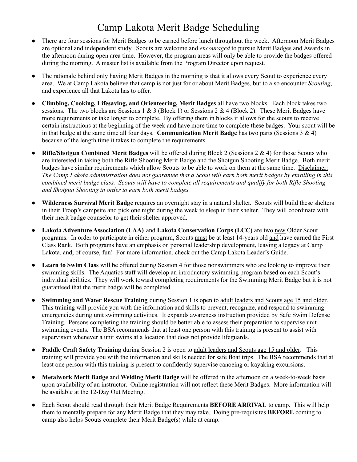### Camp Lakota Merit Badge Scheduling

- There are four sessions for Merit Badges to be earned before lunch throughout the week. Afternoon Merit Badges are optional and independent study. Scouts are welcome and *encouraged* to pursue Merit Badges and Awards in the afternoon during open area time. However, the program areas will only be able to provide the badges offered during the morning. A master list is available from the Program Director upon request.
- The rationale behind only having Merit Badges in the morning is that it allows every Scout to experience every area. We at Camp Lakota believe that camp is not just for or about Merit Badges, but to also encounter *Scouting*, and experience all that Lakota has to offer.
- **Climbing, Cooking, Lifesaving, and Orienteering, Merit Badges** all have two blocks. Each block takes two sessions. The two blocks are Sessions 1 & 3 (Block 1) or Sessions 2 & 4 (Block 2). These Merit Badges have more requirements or take longer to complete. By offering them in blocks it allows for the scouts to receive certain instructions at the beginning of the week and have more time to complete these badges. Your scout will be in that badge at the same time all four days. **Communication Merit Badge** has two parts (Sessions 3 & 4) because of the length time it takes to complete the requirements.
- **Rifle/Shotgun Combined Merit Badges** will be offered during Block 2 (Sessions 2 & 4) for those Scouts who are interested in taking both the Rifle Shooting Merit Badge and the Shotgun Shooting Merit Badge. Both merit badges have similar requirements which allow Scouts to be able to work on them at the same time. Disclaimer: The Camp Lakota administration does not guarantee that a Scout will earn both merit badges by enrolling in this combined merit badge class. Scouts will have to complete all requirements and qualify for both Rifle Shooting *and Shotgun Shooting in order to earn both merit badges.*
- **Wilderness Survival Merit Badge** requires an overnight stay in a natural shelter. Scouts will build these shelters in their Troop's campsite and pick one night during the week to sleep in their shelter. They will coordinate with their merit badge counselor to get their shelter approved.
- **Lakota Adventure Association (LAA)** and **Lakota Conservation Corps (LCC)** are two new Older Scout programs. In order to participate in either program, Scouts must be at least 14-years old and have earned the First Class Rank. Both programs have an emphasis on personal leadership development, leaving a legacy at Camp Lakota, and, of course, fun! For more information, check out the Camp Lakota Leader's Guide.
- **Learn to Swim Class** will be offered during Session 4 for those nonswimmers who are looking to improve their swimming skills. The Aquatics staff will develop an introductory swimming program based on each Scout's individual abilities. They will work toward completing requirements for the Swimming Merit Badge but it is not guaranteed that the merit badge will be completed.
- **Swimming and Water Rescue Training** during Session 1 is open to adult leaders and Scouts age 15 and older. This training will provide you with the information and skills to prevent, recognize, and respond to swimming emergencies during unit swimming activities. It expands awareness instruction provided by Safe Swim Defense Training. Persons completing the training should be better able to assess their preparation to supervise unit swimming events. The BSA recommends that at least one person with this training is present to assist with supervision whenever a unit swims at a location that does not provide lifeguards.
- **Paddle Craft Safety Training** during Session 2 is open to adult leaders and Scouts age 15 and older. This training will provide you with the information and skills needed for safe float trips. The BSA recommends that at least one person with this training is present to confidently supervise canoeing or kayaking excursions.
- **Metalwork Merit Badge** and **Welding Merit Badge** will be offered in the afternoon on a week-to-week basis upon availability of an instructor. Online registration will not reflect these Merit Badges. More information will be available at the 12-Day Out Meeting.
- Each Scout should read through their Merit Badge Requirements **BEFORE ARRIVAL** to camp. This will help them to mentally prepare for any Merit Badge that they may take. Doing pre-requisites **BEFORE** coming to camp also helps Scouts complete their Merit Badge(s) while at camp.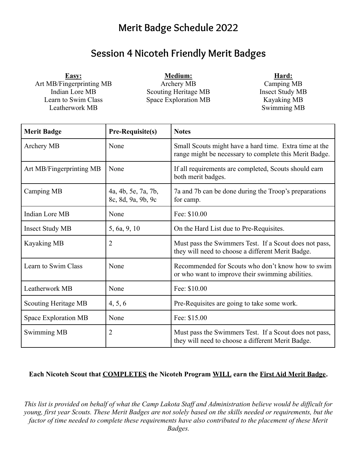## **Merit Badge Schedule 2022**

### **Session 4 Nicoteh Friendly Merit Badges**

**Easy:** Art MB/Fingerprinting MB Indian Lore MB Learn to Swim Class Leatherwork MB

**Medium:** Archery MB Scouting Heritage MB Space Exploration MB **Hard:**

Camping MB Insect Study MB Kayaking MB Swimming MB

| <b>Merit Badge</b>       | Pre-Requisite(s)                          | <b>Notes</b>                                                                                                     |  |
|--------------------------|-------------------------------------------|------------------------------------------------------------------------------------------------------------------|--|
| Archery MB               | None                                      | Small Scouts might have a hard time. Extra time at the<br>range might be necessary to complete this Merit Badge. |  |
| Art MB/Fingerprinting MB | None                                      | If all requirements are completed, Scouts should earn<br>both merit badges.                                      |  |
| Camping MB               | 4a, 4b, 5e, 7a, 7b,<br>8c, 8d, 9a, 9b, 9c | 7a and 7b can be done during the Troop's preparations<br>for camp.                                               |  |
| <b>Indian Lore MB</b>    | None                                      | Fee: \$10.00                                                                                                     |  |
| <b>Insect Study MB</b>   | 5, 6a, 9, 10                              | On the Hard List due to Pre-Requisites.                                                                          |  |
| <b>Kayaking MB</b>       | $\overline{2}$                            | Must pass the Swimmers Test. If a Scout does not pass,<br>they will need to choose a different Merit Badge.      |  |
| Learn to Swim Class      | None                                      | Recommended for Scouts who don't know how to swim<br>or who want to improve their swimming abilities.            |  |
| Leatherwork MB           | None                                      | Fee: \$10.00                                                                                                     |  |
| Scouting Heritage MB     | 4, 5, 6                                   | Pre-Requisites are going to take some work.                                                                      |  |
| Space Exploration MB     | None                                      | Fee: \$15.00                                                                                                     |  |
| Swimming MB              | $\overline{2}$                            | Must pass the Swimmers Test. If a Scout does not pass,<br>they will need to choose a different Merit Badge.      |  |

#### **Each Nicoteh Scout that COMPLETES the Nicoteh Program WILL earn the First Aid Merit Badge.**

*This list is provided on behalf of what the Camp Lakota Staff and Administration believe would be difficult for young, first year Scouts. These Merit Badges are not solely based on the skills needed or requirements, but the factor of time needed to complete these requirements have also contributed to the placement of these Merit Badges.*